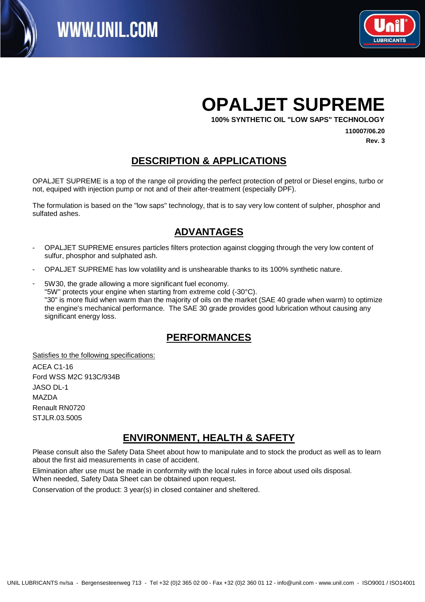

## **OPALJET SUPREME**

**100% SYNTHETIC OIL "LOW SAPS" TECHNOLOGY**

**110007/06.20 Rev. 3**

#### **DESCRIPTION & APPLICATIONS**

OPALJET SUPREME is a top of the range oil providing the perfect protection of petrol or Diesel engins, turbo or not, equiped with injection pump or not and of their after-treatment (especially DPF).

The formulation is based on the "low saps" technology, that is to say very low content of sulpher, phosphor and sulfated ashes.

#### Texte8: **ADVANTAGES**

- OPALJET SUPREME ensures particles filters protection against clogging through the very low content of sulfur, phosphor and sulphated ash. -
- OPALJET SUPREME has low volatility and is unshearable thanks to its 100% synthetic nature.
- 5W30, the grade allowing a more significant fuel economy. "5W" protects your engine when starting from extreme cold (-30°C). "30" is more fluid when warm than the majority of oils on the market (SAE 40 grade when warm) to optimize the engine's mechanical performance. The SAE 30 grade provides good lubrication wthout causing any significant energy loss. -

#### Texte8: **PERFORMANCES**

Satisfies to the following specifications: ACEA C1-16 Ford WSS M2C 913C/934B JASO DL-1 **MAZDA** Renault RN0720 STJLR.03.5005

#### **ENVIRONMENT, HEALTH & SAFETY**

Please consult also the Safety Data Sheet about how to manipulate and to stock the product as well as to learn about the first aid measurements in case of accident.

Elimination after use must be made in conformity with the local rules in force about used oils disposal. When needed, Safety Data Sheet can be obtained upon request.

Conservation of the product: 3 year(s) in closed container and sheltered.